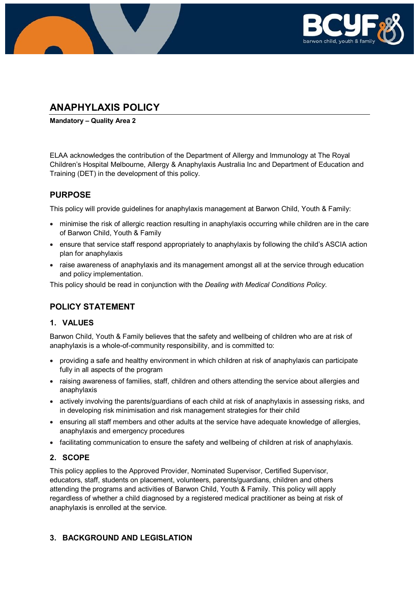

# **ANAPHYLAXIS POLICY**

**Mandatory – Quality Area 2**

ELAA acknowledges the contribution of the Department of Allergy and Immunology at The Royal Children's Hospital Melbourne, Allergy & Anaphylaxis Australia Inc and Department of Education and Training (DET) in the development of this policy.

## **PURPOSE**

This policy will provide guidelines for anaphylaxis management at Barwon Child, Youth & Family:

- minimise the risk of allergic reaction resulting in anaphylaxis occurring while children are in the care of Barwon Child, Youth & Family
- ensure that service staff respond appropriately to anaphylaxis by following the child's ASCIA action plan for anaphylaxis
- raise awareness of anaphylaxis and its management amongst all at the service through education and policy implementation.

This policy should be read in conjunction with the *Dealing with Medical Conditions Policy.*

## **POLICY STATEMENT**

### **1. VALUES**

Barwon Child, Youth & Family believes that the safety and wellbeing of children who are at risk of anaphylaxis is a whole-of-community responsibility, and is committed to:

- providing a safe and healthy environment in which children at risk of anaphylaxis can participate fully in all aspects of the program
- raising awareness of families, staff, children and others attending the service about allergies and anaphylaxis
- actively involving the parents/guardians of each child at risk of anaphylaxis in assessing risks, and in developing risk minimisation and risk management strategies for their child
- ensuring all staff members and other adults at the service have adequate knowledge of allergies, anaphylaxis and emergency procedures
- facilitating communication to ensure the safety and wellbeing of children at risk of anaphylaxis.

### **2. SCOPE**

This policy applies to the Approved Provider, Nominated Supervisor, Certified Supervisor, educators, staff, students on placement, volunteers, parents/guardians, children and others attending the programs and activities of Barwon Child, Youth & Family. This policy will apply regardless of whether a child diagnosed by a registered medical practitioner as being at risk of anaphylaxis is enrolled at the service.

### **3. BACKGROUND AND LEGISLATION**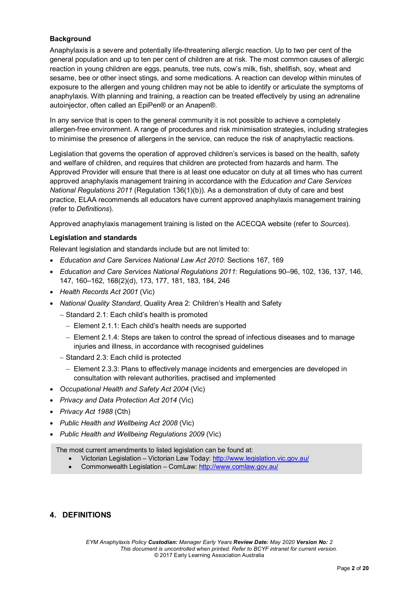### **Background**

Anaphylaxis is a severe and potentially life-threatening allergic reaction. Up to two per cent of the general population and up to ten per cent of children are at risk. The most common causes of allergic reaction in young children are eggs, peanuts, tree nuts, cow's milk, fish, shellfish, soy, wheat and sesame, bee or other insect stings, and some medications. A reaction can develop within minutes of exposure to the allergen and young children may not be able to identify or articulate the symptoms of anaphylaxis. With planning and training, a reaction can be treated effectively by using an adrenaline autoinjector, often called an EpiPen® or an Anapen®.

In any service that is open to the general community it is not possible to achieve a completely allergen-free environment. A range of procedures and risk minimisation strategies, including strategies to minimise the presence of allergens in the service, can reduce the risk of anaphylactic reactions.

Legislation that governs the operation of approved children's services is based on the health, safety and welfare of children, and requires that children are protected from hazards and harm. The Approved Provider will ensure that there is at least one educator on duty at all times who has current approved anaphylaxis management training in accordance with the *Education and Care Services National Regulations 2011* (Regulation 136(1)(b)). As a demonstration of duty of care and best practice, ELAA recommends all educators have current approved anaphylaxis management training (refer to *Definitions*).

Approved anaphylaxis management training is listed on the ACECQA website (refer to *Sources*).

#### **Legislation and standards**

Relevant legislation and standards include but are not limited to:

- *Education and Care Services National Law Act 2010*: Sections 167, 169
- *Education and Care Services National Regulations 2011*: Regulations 90–96, 102, 136, 137, 146, 147, 160–162, 168(2)(d), 173, 177, 181, 183, 184, 246
- *Health Records Act 2001* (Vic)
- *National Quality Standard*, Quality Area 2: Children's Health and Safety
	- − Standard 2.1: Each child's health is promoted
		- − Element 2.1.1: Each child's health needs are supported
		- − Element 2.1.4: Steps are taken to control the spread of infectious diseases and to manage injuries and illness, in accordance with recognised guidelines
	- − Standard 2.3: Each child is protected
		- − Element 2.3.3: Plans to effectively manage incidents and emergencies are developed in consultation with relevant authorities, practised and implemented
- *Occupational Health and Safety Act 2004* (Vic)
- *Privacy and Data Protection Act 2014* (Vic)
- *Privacy Act 1988* (Cth)
- *Public Health and Wellbeing Act 2008* (Vic)
- *Public Health and Wellbeing Regulations 2009* (Vic)

The most current amendments to listed legislation can be found at:

- Victorian Legislation Victorian Law Today:<http://www.legislation.vic.gov.au/>
- Commonwealth Legislation ComLaw:<http://www.comlaw.gov.au/>

### **4. DEFINITIONS**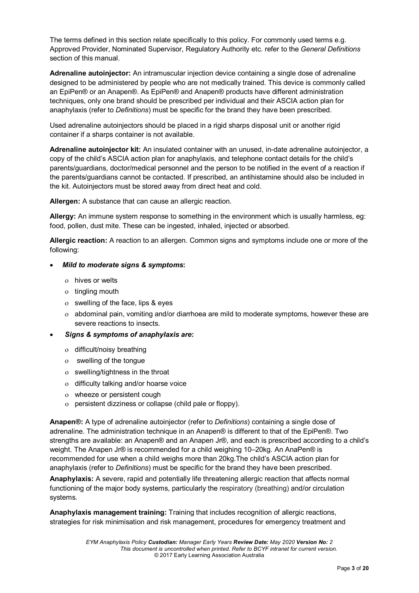The terms defined in this section relate specifically to this policy. For commonly used terms e.g. Approved Provider, Nominated Supervisor, Regulatory Authority etc. refer to the *General Definitions* section of this manual.

**Adrenaline autoinjector:** An intramuscular injection device containing a single dose of adrenaline designed to be administered by people who are not medically trained. This device is commonly called an EpiPen® or an Anapen®. As EpiPen® and Anapen® products have different administration techniques, only one brand should be prescribed per individual and their ASCIA action plan for anaphylaxis (refer to *Definitions*) must be specific for the brand they have been prescribed.

Used adrenaline autoinjectors should be placed in a rigid sharps disposal unit or another rigid container if a sharps container is not available.

**Adrenaline autoinjector kit:** An insulated container with an unused, in-date adrenaline autoinjector, a copy of the child's ASCIA action plan for anaphylaxis, and telephone contact details for the child's parents/guardians, doctor/medical personnel and the person to be notified in the event of a reaction if the parents/guardians cannot be contacted. If prescribed, an antihistamine should also be included in the kit. Autoinjectors must be stored away from direct heat and cold.

**Allergen:** A substance that can cause an allergic reaction.

**Allergy:** An immune system response to something in the environment which is usually harmless, eg: food, pollen, dust mite. These can be ingested, inhaled, injected or absorbed.

**Allergic reaction:** A reaction to an allergen. Common signs and symptoms include one or more of the following:

#### • *Mild to moderate signs & symptoms***:**

- ο hives or welts
- ο tingling mouth
- ο swelling of the face, lips & eyes
- ο abdominal pain, vomiting and/or diarrhoea are mild to moderate symptoms, however these are severe reactions to insects.

#### • *Signs & symptoms of anaphylaxis are***:**

- ο difficult/noisy breathing
- ο swelling of the tongue
- ο swelling/tightness in the throat
- ο difficulty talking and/or hoarse voice
- ο wheeze or persistent cough
- ο persistent dizziness or collapse (child pale or floppy).

**Anapen®:** A type of adrenaline autoinjector (refer to *Definitions*) containing a single dose of adrenaline. The administration technique in an Anapen® is different to that of the EpiPen®. Two strengths are available: an Anapen® and an Anapen Jr®, and each is prescribed according to a child's weight. The Anapen Jr® is recommended for a child weighing 10–20kg. An AnaPen® is recommended for use when a child weighs more than 20kg.The child's ASCIA action plan for anaphylaxis (refer to *Definitions*) must be specific for the brand they have been prescribed.

**Anaphylaxis:** A severe, rapid and potentially life threatening allergic reaction that affects normal functioning of the major body systems, particularly the respiratory (breathing) and/or circulation systems.

**Anaphylaxis management training:** Training that includes recognition of allergic reactions, strategies for risk minimisation and risk management, procedures for emergency treatment and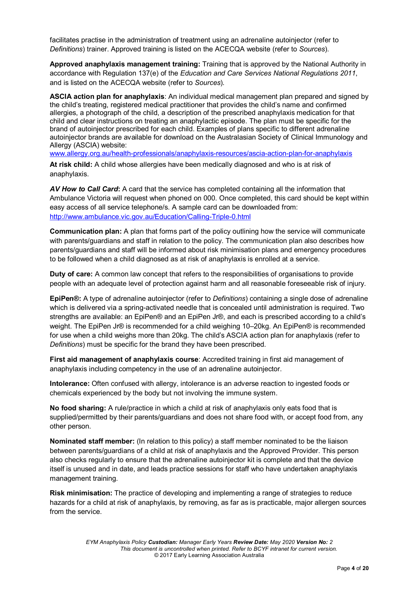facilitates practise in the administration of treatment using an adrenaline autoinjector (refer to *Definitions*) trainer. Approved training is listed on the ACECQA website (refer to *Sources*).

**Approved anaphylaxis management training:** Training that is approved by the National Authority in accordance with Regulation 137(e) of the *Education and Care Services National Regulations 2011*, and is listed on the ACECQA website (refer to *Sources*).

**ASCIA action plan for anaphylaxis**: An individual medical management plan prepared and signed by the child's treating, registered medical practitioner that provides the child's name and confirmed allergies, a photograph of the child, a description of the prescribed anaphylaxis medication for that child and clear instructions on treating an anaphylactic episode. The plan must be specific for the brand of autoinjector prescribed for each child. Examples of plans specific to different adrenaline autoinjector brands are available for download on the Australasian Society of Clinical Immunology and Allergy (ASCIA) website:

[www.allergy.org.au/health-professionals/anaphylaxis-resources/ascia-action-plan-for-anaphylaxis](http://www.allergy.org.au/health-professionals/anaphylaxis-resources/ascia-action-plan-for-anaphylaxis)

**At risk child:** A child whose allergies have been medically diagnosed and who is at risk of anaphylaxis.

*AV How to Call Card***:** A card that the service has completed containing all the information that Ambulance Victoria will request when phoned on 000. Once completed, this card should be kept within easy access of all service telephone/s. A sample card can be downloaded from: <http://www.ambulance.vic.gov.au/Education/Calling-Triple-0.html>

**Communication plan:** A plan that forms part of the policy outlining how the service will communicate with parents/guardians and staff in relation to the policy. The communication plan also describes how parents/guardians and staff will be informed about risk minimisation plans and emergency procedures to be followed when a child diagnosed as at risk of anaphylaxis is enrolled at a service.

**Duty of care:** A common law concept that refers to the responsibilities of organisations to provide people with an adequate level of protection against harm and all reasonable foreseeable risk of injury.

**EpiPen®:** A type of adrenaline autoinjector (refer to *Definitions*) containing a single dose of adrenaline which is delivered via a spring-activated needle that is concealed until administration is required. Two strengths are available: an EpiPen® and an EpiPen Jr®, and each is prescribed according to a child's weight. The EpiPen Jr® is recommended for a child weighing 10–20kg. An EpiPen® is recommended for use when a child weighs more than 20kg. The child's ASCIA action plan for anaphylaxis (refer to *Definitions*) must be specific for the brand they have been prescribed.

**First aid management of anaphylaxis course**: Accredited training in first aid management of anaphylaxis including competency in the use of an adrenaline autoinjector.

**Intolerance:** Often confused with allergy, intolerance is an adverse reaction to ingested foods or chemicals experienced by the body but not involving the immune system.

**No food sharing:** A rule/practice in which a child at risk of anaphylaxis only eats food that is supplied/permitted by their parents/guardians and does not share food with, or accept food from, any other person.

**Nominated staff member:** (In relation to this policy) a staff member nominated to be the liaison between parents/guardians of a child at risk of anaphylaxis and the Approved Provider. This person also checks regularly to ensure that the adrenaline autoinjector kit is complete and that the device itself is unused and in date, and leads practice sessions for staff who have undertaken anaphylaxis management training.

**Risk minimisation:** The practice of developing and implementing a range of strategies to reduce hazards for a child at risk of anaphylaxis, by removing, as far as is practicable, major allergen sources from the service.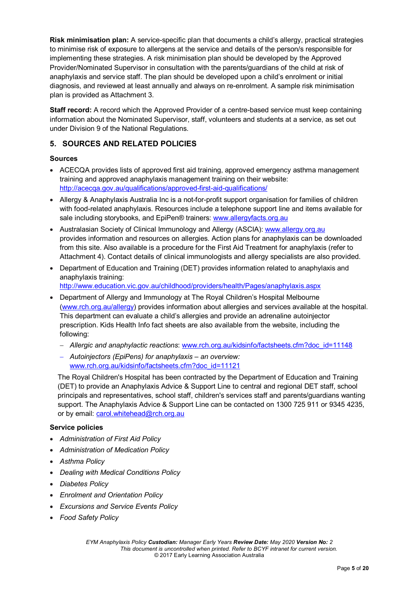**Risk minimisation plan:** A service-specific plan that documents a child's allergy, practical strategies to minimise risk of exposure to allergens at the service and details of the person/s responsible for implementing these strategies. A risk minimisation plan should be developed by the Approved Provider/Nominated Supervisor in consultation with the parents/guardians of the child at risk of anaphylaxis and service staff. The plan should be developed upon a child's enrolment or initial diagnosis, and reviewed at least annually and always on re-enrolment. A sample risk minimisation plan is provided as Attachment 3.

**Staff record:** A record which the Approved Provider of a centre-based service must keep containing information about the Nominated Supervisor, staff, volunteers and students at a service, as set out under Division 9 of the National Regulations.

### **5. SOURCES AND RELATED POLICIES**

#### **Sources**

- ACECQA provides lists of approved first aid training, approved emergency asthma management training and approved anaphylaxis management training on their website: <http://acecqa.gov.au/qualifications/approved-first-aid-qualifications/>
- Allergy & Anaphylaxis Australia Inc is a not-for-profit support organisation for families of children with food-related anaphylaxis. Resources include a telephone support line and items available for sale including storybooks, and EpiPen® trainers: [www.allergyfacts.org.au](http://www.allergyfacts.org.au/)
- Australasian Society of Clinical Immunology and Allergy (ASCIA): [www.allergy.org.au](http://www.allergy.org.au/) provides information and resources on allergies. Action plans for anaphylaxis can be downloaded from this site. Also available is a procedure for the First Aid Treatment for anaphylaxis (refer to Attachment 4). Contact details of clinical immunologists and allergy specialists are also provided.
- Department of Education and Training (DET) provides information related to anaphylaxis and anaphylaxis training:

<http://www.education.vic.gov.au/childhood/providers/health/Pages/anaphylaxis.aspx>

- Department of Allergy and Immunology at The Royal Children's Hospital Melbourne [\(www.rch.org.au/allergy\)](http://www.rch.org.au/allergy) provides information about allergies and services available at the hospital. This department can evaluate a child's allergies and provide an adrenaline autoinjector prescription. Kids Health Info fact sheets are also available from the website, including the following:
	- − *Allergic and anaphylactic reactions*: [www.rch.org.au/kidsinfo/factsheets.cfm?doc\\_id=11148](http://www.rch.org.au/kidsinfo/factsheets.cfm?doc_id=11148)
	- − *Autoinjectors (EpiPens) for anaphylaxis – an overview:*  [www.rch.org.au/kidsinfo/factsheets.cfm?doc\\_id=11121](http://www.rch.org.au/kidsinfo/factsheets.cfm?doc_id=11121)

The Royal Children's Hospital has been contracted by the Department of Education and Training (DET) to provide an Anaphylaxis Advice & Support Line to central and regional DET staff, school principals and representatives, school staff, children's services staff and parents/guardians wanting support. The Anaphylaxis Advice & Support Line can be contacted on 1300 725 911 or 9345 4235, or by email: [carol.whitehead@rch.org.au](mailto:carol.whitehead@rch.org.au)

#### **Service policies**

- *Administration of First Aid Policy*
- *Administration of Medication Policy*
- *Asthma Policy*
- *Dealing with Medical Conditions Policy*
- *Diabetes Policy*
- *Enrolment and Orientation Policy*
- *Excursions and Service Events Policy*
- *Food Safety Policy*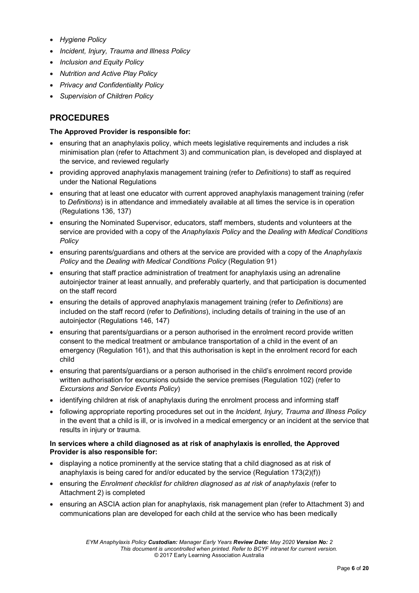- *Hygiene Policy*
- *Incident, Injury, Trauma and Illness Policy*
- *Inclusion and Equity Policy*
- *Nutrition and Active Play Policy*
- *Privacy and Confidentiality Policy*
- *Supervision of Children Policy*

## **PROCEDURES**

#### **The Approved Provider is responsible for:**

- ensuring that an anaphylaxis policy, which meets legislative requirements and includes a risk minimisation plan (refer to Attachment 3) and communication plan, is developed and displayed at the service, and reviewed regularly
- providing approved anaphylaxis management training (refer to *Definitions*) to staff as required under the National Regulations
- ensuring that at least one educator with current approved anaphylaxis management training (refer to *Definitions*) is in attendance and immediately available at all times the service is in operation (Regulations 136, 137)
- ensuring the Nominated Supervisor, educators, staff members, students and volunteers at the service are provided with a copy of the *Anaphylaxis Policy* and the *Dealing with Medical Conditions Policy*
- ensuring parents/guardians and others at the service are provided with a copy of the *Anaphylaxis Policy* and the *Dealing with Medical Conditions Policy* (Regulation 91)
- ensuring that staff practice administration of treatment for anaphylaxis using an adrenaline autoinjector trainer at least annually, and preferably quarterly, and that participation is documented on the staff record
- ensuring the details of approved anaphylaxis management training (refer to *Definitions*) are included on the staff record (refer to *Definitions*), including details of training in the use of an autoinjector (Regulations 146, 147)
- ensuring that parents/guardians or a person authorised in the enrolment record provide written consent to the medical treatment or ambulance transportation of a child in the event of an emergency (Regulation 161), and that this authorisation is kept in the enrolment record for each child
- ensuring that parents/guardians or a person authorised in the child's enrolment record provide written authorisation for excursions outside the service premises (Regulation 102) (refer to *Excursions and Service Events Policy*)
- identifying children at risk of anaphylaxis during the enrolment process and informing staff
- following appropriate reporting procedures set out in the *Incident, Injury, Trauma and Illness Policy* in the event that a child is ill, or is involved in a medical emergency or an incident at the service that results in injury or trauma.

#### **In services where a child diagnosed as at risk of anaphylaxis is enrolled, the Approved Provider is also responsible for:**

- displaying a notice prominently at the service stating that a child diagnosed as at risk of anaphylaxis is being cared for and/or educated by the service (Regulation 173(2)(f))
- ensuring the *Enrolment checklist for children diagnosed as at risk of anaphylaxis* (refer to Attachment 2) is completed
- ensuring an ASCIA action plan for anaphylaxis, risk management plan (refer to Attachment 3) and communications plan are developed for each child at the service who has been medically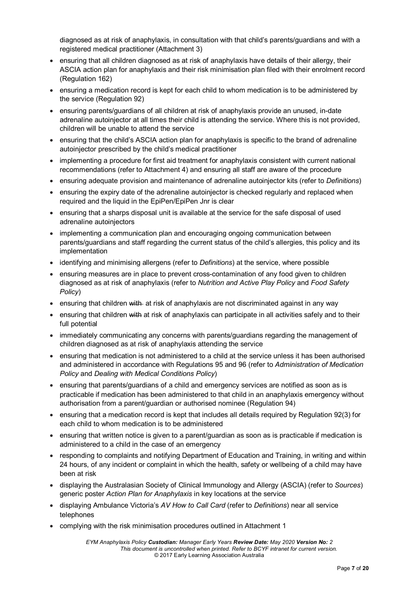diagnosed as at risk of anaphylaxis, in consultation with that child's parents/guardians and with a registered medical practitioner (Attachment 3)

- ensuring that all children diagnosed as at risk of anaphylaxis have details of their allergy, their ASCIA action plan for anaphylaxis and their risk minimisation plan filed with their enrolment record (Regulation 162)
- ensuring a medication record is kept for each child to whom medication is to be administered by the service (Regulation 92)
- ensuring parents/guardians of all children at risk of anaphylaxis provide an unused, in-date adrenaline autoinjector at all times their child is attending the service. Where this is not provided, children will be unable to attend the service
- ensuring that the child's ASCIA action plan for anaphylaxis is specific to the brand of adrenaline autoinjector prescribed by the child's medical practitioner
- implementing a procedure for first aid treatment for anaphylaxis consistent with current national recommendations (refer to Attachment 4) and ensuring all staff are aware of the procedure
- ensuring adequate provision and maintenance of adrenaline autoinjector kits (refer to *Definitions*)
- ensuring the expiry date of the adrenaline autoinjector is checked regularly and replaced when required and the liquid in the EpiPen/EpiPen Jnr is clear
- ensuring that a sharps disposal unit is available at the service for the safe disposal of used adrenaline autoinjectors
- implementing a communication plan and encouraging ongoing communication between parents/guardians and staff regarding the current status of the child's allergies, this policy and its implementation
- identifying and minimising allergens (refer to *Definitions*) at the service, where possible
- ensuring measures are in place to prevent cross-contamination of any food given to children diagnosed as at risk of anaphylaxis (refer to *Nutrition and Active Play Policy* and *Food Safety Policy*)
- ensuring that children with at risk of anaphylaxis are not discriminated against in any way
- ensuring that children with at risk of anaphylaxis can participate in all activities safely and to their full potential
- immediately communicating any concerns with parents/guardians regarding the management of children diagnosed as at risk of anaphylaxis attending the service
- ensuring that medication is not administered to a child at the service unless it has been authorised and administered in accordance with Regulations 95 and 96 (refer to *Administration of Medication Policy* and *Dealing with Medical Conditions Policy*)
- ensuring that parents/guardians of a child and emergency services are notified as soon as is practicable if medication has been administered to that child in an anaphylaxis emergency without authorisation from a parent/guardian or authorised nominee (Regulation 94)
- ensuring that a medication record is kept that includes all details required by Regulation 92(3) for each child to whom medication is to be administered
- ensuring that written notice is given to a parent/guardian as soon as is practicable if medication is administered to a child in the case of an emergency
- responding to complaints and notifying Department of Education and Training, in writing and within 24 hours, of any incident or complaint in which the health, safety or wellbeing of a child may have been at risk
- displaying the Australasian Society of Clinical Immunology and Allergy (ASCIA) (refer to *Sources*) generic poster *Action Plan for Anaphylaxis* in key locations at the service
- displaying Ambulance Victoria's *AV How to Call Card* (refer to *Definitions*) near all service telephones
- complying with the risk minimisation procedures outlined in Attachment 1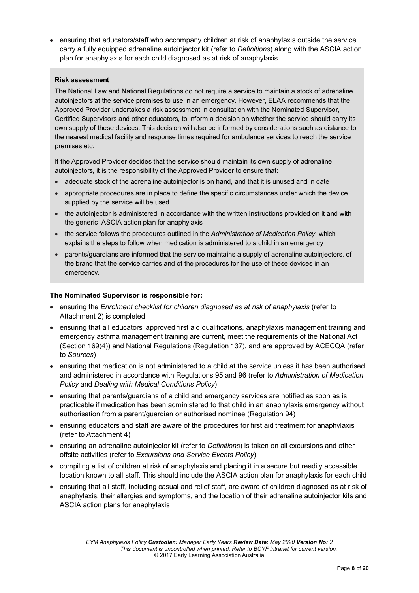• ensuring that educators/staff who accompany children at risk of anaphylaxis outside the service carry a fully equipped adrenaline autoinjector kit (refer to *Definitions*) along with the ASCIA action plan for anaphylaxis for each child diagnosed as at risk of anaphylaxis.

#### **Risk assessment**

The National Law and National Regulations do not require a service to maintain a stock of adrenaline autoinjectors at the service premises to use in an emergency. However, ELAA recommends that the Approved Provider undertakes a risk assessment in consultation with the Nominated Supervisor, Certified Supervisors and other educators, to inform a decision on whether the service should carry its own supply of these devices. This decision will also be informed by considerations such as distance to the nearest medical facility and response times required for ambulance services to reach the service premises etc.

If the Approved Provider decides that the service should maintain its own supply of adrenaline autoinjectors, it is the responsibility of the Approved Provider to ensure that:

- adequate stock of the adrenaline autoinjector is on hand, and that it is unused and in date
- appropriate procedures are in place to define the specific circumstances under which the device supplied by the service will be used
- the autoinjector is administered in accordance with the written instructions provided on it and with the generic ASCIA action plan for anaphylaxis
- the service follows the procedures outlined in the *Administration of Medication Policy*, which explains the steps to follow when medication is administered to a child in an emergency
- parents/guardians are informed that the service maintains a supply of adrenaline autoinjectors, of the brand that the service carries and of the procedures for the use of these devices in an emergency.

#### **The Nominated Supervisor is responsible for:**

- ensuring the *Enrolment checklist for children diagnosed as at risk of anaphylaxis* (refer to Attachment 2) is completed
- ensuring that all educators' approved first aid qualifications, anaphylaxis management training and emergency asthma management training are current, meet the requirements of the National Act (Section 169(4)) and National Regulations (Regulation 137), and are approved by ACECQA (refer to *Sources*)
- ensuring that medication is not administered to a child at the service unless it has been authorised and administered in accordance with Regulations 95 and 96 (refer to *Administration of Medication Policy* and *Dealing with Medical Conditions Policy*)
- ensuring that parents/guardians of a child and emergency services are notified as soon as is practicable if medication has been administered to that child in an anaphylaxis emergency without authorisation from a parent/guardian or authorised nominee (Regulation 94)
- ensuring educators and staff are aware of the procedures for first aid treatment for anaphylaxis (refer to Attachment 4)
- ensuring an adrenaline autoinjector kit (refer to *Definitions*) is taken on all excursions and other offsite activities (refer to *Excursions and Service Events Policy*)
- compiling a list of children at risk of anaphylaxis and placing it in a secure but readily accessible location known to all staff. This should include the ASCIA action plan for anaphylaxis for each child
- ensuring that all staff, including casual and relief staff, are aware of children diagnosed as at risk of anaphylaxis, their allergies and symptoms, and the location of their adrenaline autoinjector kits and ASCIA action plans for anaphylaxis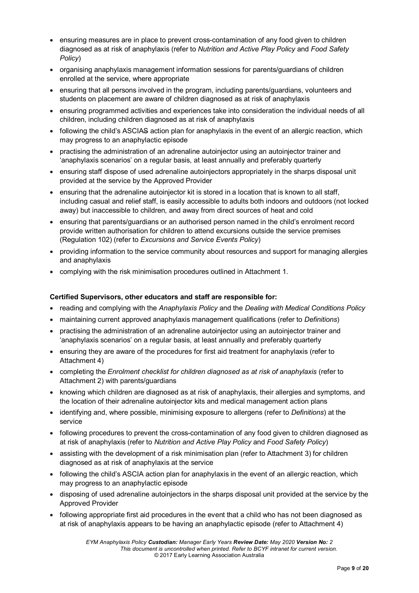- ensuring measures are in place to prevent cross-contamination of any food given to children diagnosed as at risk of anaphylaxis (refer to *Nutrition and Active Play Policy* and *Food Safety Policy*)
- organising anaphylaxis management information sessions for parents/guardians of children enrolled at the service, where appropriate
- ensuring that all persons involved in the program, including parents/guardians, volunteers and students on placement are aware of children diagnosed as at risk of anaphylaxis
- ensuring programmed activities and experiences take into consideration the individual needs of all children, including children diagnosed as at risk of anaphylaxis
- following the child's ASCIAS action plan for anaphylaxis in the event of an allergic reaction, which may progress to an anaphylactic episode
- practising the administration of an adrenaline autoiniector using an autoiniector trainer and 'anaphylaxis scenarios' on a regular basis, at least annually and preferably quarterly
- ensuring staff dispose of used adrenaline autoinjectors appropriately in the sharps disposal unit provided at the service by the Approved Provider
- ensuring that the adrenaline autoinjector kit is stored in a location that is known to all staff, including casual and relief staff, is easily accessible to adults both indoors and outdoors (not locked away) but inaccessible to children, and away from direct sources of heat and cold
- ensuring that parents/guardians or an authorised person named in the child's enrolment record provide written authorisation for children to attend excursions outside the service premises (Regulation 102) (refer to *Excursions and Service Events Policy*)
- providing information to the service community about resources and support for managing allergies and anaphylaxis
- complying with the risk minimisation procedures outlined in Attachment 1.

#### **Certified Supervisors, other educators and staff are responsible for:**

- reading and complying with the *Anaphylaxis Policy* and the *Dealing with Medical Conditions Policy*
- maintaining current approved anaphylaxis management qualifications (refer to *Definitions*)
- practising the administration of an adrenaline autoinjector using an autoinjector trainer and 'anaphylaxis scenarios' on a regular basis, at least annually and preferably quarterly
- ensuring they are aware of the procedures for first aid treatment for anaphylaxis (refer to Attachment 4)
- completing the *Enrolment checklist for children diagnosed as at risk of anaphylaxis* (refer to Attachment 2) with parents/guardians
- knowing which children are diagnosed as at risk of anaphylaxis, their allergies and symptoms, and the location of their adrenaline autoinjector kits and medical management action plans
- identifying and, where possible, minimising exposure to allergens (refer to *Definitions*) at the service
- following procedures to prevent the cross-contamination of any food given to children diagnosed as at risk of anaphylaxis (refer to *Nutrition and Active Play Policy* and *Food Safety Policy*)
- assisting with the development of a risk minimisation plan (refer to Attachment 3) for children diagnosed as at risk of anaphylaxis at the service
- following the child's ASCIA action plan for anaphylaxis in the event of an allergic reaction, which may progress to an anaphylactic episode
- disposing of used adrenaline autoinjectors in the sharps disposal unit provided at the service by the Approved Provider
- following appropriate first aid procedures in the event that a child who has not been diagnosed as at risk of anaphylaxis appears to be having an anaphylactic episode (refer to Attachment 4)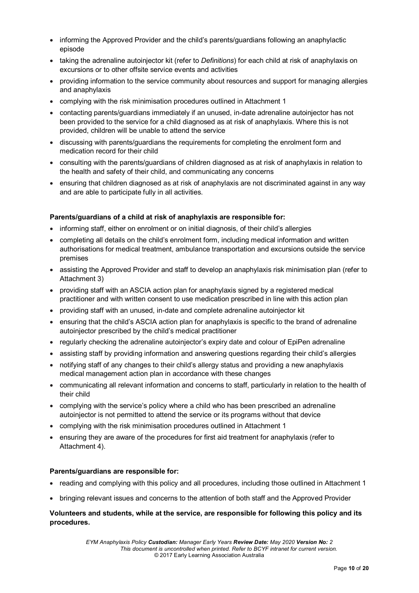- informing the Approved Provider and the child's parents/guardians following an anaphylactic episode
- taking the adrenaline autoinjector kit (refer to *Definitions*) for each child at risk of anaphylaxis on excursions or to other offsite service events and activities
- providing information to the service community about resources and support for managing allergies and anaphylaxis
- complying with the risk minimisation procedures outlined in Attachment 1
- contacting parents/guardians immediately if an unused, in-date adrenaline autoinjector has not been provided to the service for a child diagnosed as at risk of anaphylaxis. Where this is not provided, children will be unable to attend the service
- discussing with parents/guardians the requirements for completing the enrolment form and medication record for their child
- consulting with the parents/guardians of children diagnosed as at risk of anaphylaxis in relation to the health and safety of their child, and communicating any concerns
- ensuring that children diagnosed as at risk of anaphylaxis are not discriminated against in any way and are able to participate fully in all activities.

#### **Parents/guardians of a child at risk of anaphylaxis are responsible for:**

- informing staff, either on enrolment or on initial diagnosis, of their child's allergies
- completing all details on the child's enrolment form, including medical information and written authorisations for medical treatment, ambulance transportation and excursions outside the service premises
- assisting the Approved Provider and staff to develop an anaphylaxis risk minimisation plan (refer to Attachment 3)
- providing staff with an ASCIA action plan for anaphylaxis signed by a registered medical practitioner and with written consent to use medication prescribed in line with this action plan
- providing staff with an unused, in-date and complete adrenaline autoinjector kit
- ensuring that the child's ASCIA action plan for anaphylaxis is specific to the brand of adrenaline autoinjector prescribed by the child's medical practitioner
- regularly checking the adrenaline autoinjector's expiry date and colour of EpiPen adrenaline
- assisting staff by providing information and answering questions regarding their child's allergies
- notifying staff of any changes to their child's allergy status and providing a new anaphylaxis medical management action plan in accordance with these changes
- communicating all relevant information and concerns to staff, particularly in relation to the health of their child
- complying with the service's policy where a child who has been prescribed an adrenaline autoinjector is not permitted to attend the service or its programs without that device
- complying with the risk minimisation procedures outlined in Attachment 1
- ensuring they are aware of the procedures for first aid treatment for anaphylaxis (refer to Attachment 4).

#### **Parents/guardians are responsible for:**

- reading and complying with this policy and all procedures, including those outlined in Attachment 1
- bringing relevant issues and concerns to the attention of both staff and the Approved Provider

#### **Volunteers and students, while at the service, are responsible for following this policy and its procedures.**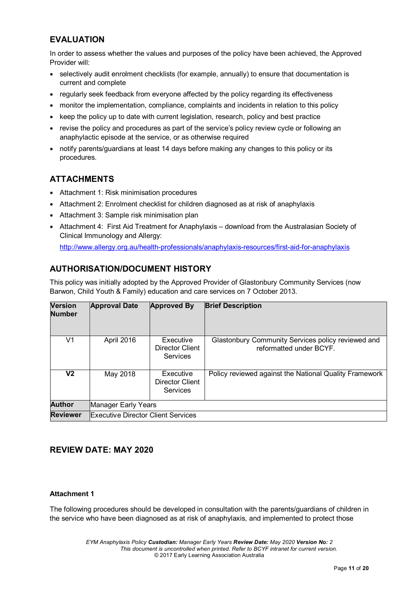## **EVALUATION**

In order to assess whether the values and purposes of the policy have been achieved, the Approved Provider will:

- selectively audit enrolment checklists (for example, annually) to ensure that documentation is current and complete
- regularly seek feedback from everyone affected by the policy regarding its effectiveness
- monitor the implementation, compliance, complaints and incidents in relation to this policy
- keep the policy up to date with current legislation, research, policy and best practice
- revise the policy and procedures as part of the service's policy review cycle or following an anaphylactic episode at the service, or as otherwise required
- notify parents/guardians at least 14 days before making any changes to this policy or its procedures.

## **ATTACHMENTS**

- Attachment 1: Risk minimisation procedures
- Attachment 2: Enrolment checklist for children diagnosed as at risk of anaphylaxis
- Attachment 3: Sample risk minimisation plan
- Attachment 4: First Aid Treatment for Anaphylaxis download from the Australasian Society of Clinical Immunology and Allergy:

<http://www.allergy.org.au/health-professionals/anaphylaxis-resources/first-aid-for-anaphylaxis>

## **AUTHORISATION/DOCUMENT HISTORY**

This policy was initially adopted by the Approved Provider of Glastonbury Community Services (now Barwon, Child Youth & Family) education and care services on 7 October 2013.

| <b>Version</b><br><b>Number</b> | <b>Approval Date</b>                                        | <b>Approved By</b>                       | <b>Brief Description</b>                                                      |  |  |  |
|---------------------------------|-------------------------------------------------------------|------------------------------------------|-------------------------------------------------------------------------------|--|--|--|
| V1                              | April 2016                                                  | Executive<br>Director Client<br>Services | Glastonbury Community Services policy reviewed and<br>reformatted under BCYF. |  |  |  |
| V2                              | May 2018<br>Executive<br><b>Director Client</b><br>Services |                                          | Policy reviewed against the National Quality Framework                        |  |  |  |
| <b>Author</b>                   | Manager Early Years                                         |                                          |                                                                               |  |  |  |
| <b>Reviewer</b>                 | <b>Executive Director Client Services</b>                   |                                          |                                                                               |  |  |  |

### **REVIEW DATE: MAY 2020**

#### **Attachment 1**

The following procedures should be developed in consultation with the parents/guardians of children in the service who have been diagnosed as at risk of anaphylaxis, and implemented to protect those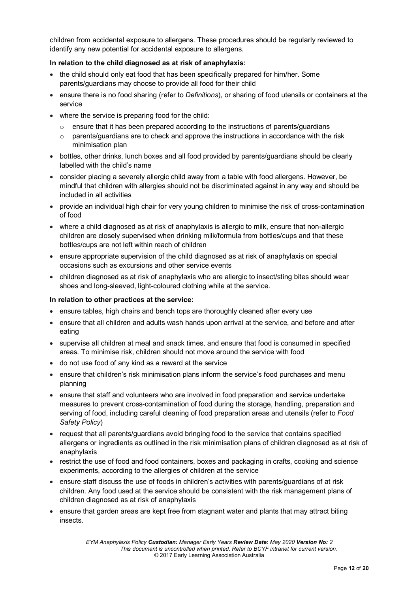children from accidental exposure to allergens. These procedures should be regularly reviewed to identify any new potential for accidental exposure to allergens.

#### **In relation to the child diagnosed as at risk of anaphylaxis:**

- the child should only eat food that has been specifically prepared for him/her. Some parents/guardians may choose to provide all food for their child
- ensure there is no food sharing (refer to *Definitions*), or sharing of food utensils or containers at the service
- where the service is preparing food for the child:
	- $\circ$  ensure that it has been prepared according to the instructions of parents/guardians
	- $\circ$  parents/guardians are to check and approve the instructions in accordance with the risk minimisation plan
- bottles, other drinks, lunch boxes and all food provided by parents/guardians should be clearly labelled with the child's name
- consider placing a severely allergic child away from a table with food allergens. However, be mindful that children with allergies should not be discriminated against in any way and should be included in all activities
- provide an individual high chair for very young children to minimise the risk of cross-contamination of food
- where a child diagnosed as at risk of anaphylaxis is allergic to milk, ensure that non-allergic children are closely supervised when drinking milk/formula from bottles/cups and that these bottles/cups are not left within reach of children
- ensure appropriate supervision of the child diagnosed as at risk of anaphylaxis on special occasions such as excursions and other service events
- children diagnosed as at risk of anaphylaxis who are allergic to insect/sting bites should wear shoes and long-sleeved, light-coloured clothing while at the service.

#### **In relation to other practices at the service:**

- ensure tables, high chairs and bench tops are thoroughly cleaned after every use
- ensure that all children and adults wash hands upon arrival at the service, and before and after eating
- supervise all children at meal and snack times, and ensure that food is consumed in specified areas. To minimise risk, children should not move around the service with food
- do not use food of any kind as a reward at the service
- ensure that children's risk minimisation plans inform the service's food purchases and menu planning
- ensure that staff and volunteers who are involved in food preparation and service undertake measures to prevent cross-contamination of food during the storage, handling, preparation and serving of food, including careful cleaning of food preparation areas and utensils (refer to *Food Safety Policy*)
- request that all parents/guardians avoid bringing food to the service that contains specified allergens or ingredients as outlined in the risk minimisation plans of children diagnosed as at risk of anaphylaxis
- restrict the use of food and food containers, boxes and packaging in crafts, cooking and science experiments, according to the allergies of children at the service
- ensure staff discuss the use of foods in children's activities with parents/guardians of at risk children. Any food used at the service should be consistent with the risk management plans of children diagnosed as at risk of anaphylaxis
- ensure that garden areas are kept free from stagnant water and plants that may attract biting insects.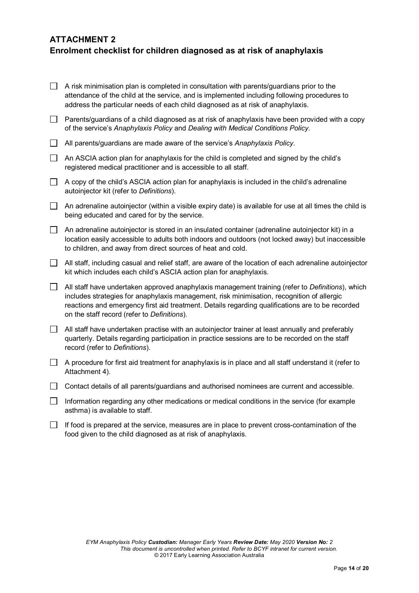## **ATTACHMENT 2 Enrolment checklist for children diagnosed as at risk of anaphylaxis**

| A risk minimisation plan is completed in consultation with parents/guardians prior to the    |
|----------------------------------------------------------------------------------------------|
| attendance of the child at the service, and is implemented including following procedures to |
| address the particular needs of each child diagnosed as at risk of anaphylaxis.              |

- $\Box$  Parents/guardians of a child diagnosed as at risk of anaphylaxis have been provided with a copy of the service's *Anaphylaxis Policy* and *Dealing with Medical Conditions Policy.*
- All parents/guardians are made aware of the service's *Anaphylaxis Policy*.
- $\Box$  An ASCIA action plan for anaphylaxis for the child is completed and signed by the child's registered medical practitioner and is accessible to all staff.
- $\Box$  A copy of the child's ASCIA action plan for anaphylaxis is included in the child's adrenaline autoinjector kit (refer to *Definitions*).
- $\Box$  An adrenaline autoinjector (within a visible expiry date) is available for use at all times the child is being educated and cared for by the service.
- $\Box$  An adrenaline autoinjector is stored in an insulated container (adrenaline autoinjector kit) in a location easily accessible to adults both indoors and outdoors (not locked away) but inaccessible to children, and away from direct sources of heat and cold.
- $\Box$  All staff, including casual and relief staff, are aware of the location of each adrenaline autoinjector kit which includes each child's ASCIA action plan for anaphylaxis.
- All staff have undertaken approved anaphylaxis management training (refer to *Definitions*), which includes strategies for anaphylaxis management, risk minimisation, recognition of allergic reactions and emergency first aid treatment. Details regarding qualifications are to be recorded on the staff record (refer to *Definitions*).
- $\Box$  All staff have undertaken practise with an autoiniector trainer at least annually and preferably quarterly. Details regarding participation in practice sessions are to be recorded on the staff record (refer to *Definitions*).
- $\Box$  A procedure for first aid treatment for anaphylaxis is in place and all staff understand it (refer to Attachment 4).
- $\Box$  Contact details of all parents/guardians and authorised nominees are current and accessible.
- $\Box$  Information regarding any other medications or medical conditions in the service (for example asthma) is available to staff.
- $\Box$  If food is prepared at the service, measures are in place to prevent cross-contamination of the food given to the child diagnosed as at risk of anaphylaxis.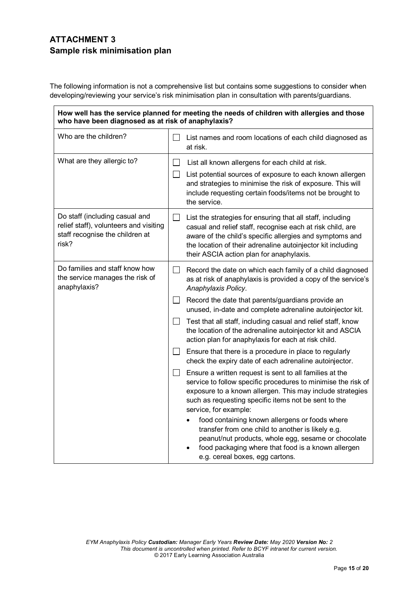## **ATTACHMENT 3 Sample risk minimisation plan**

The following information is not a comprehensive list but contains some suggestions to consider when developing/reviewing your service's risk minimisation plan in consultation with parents/guardians.

#### **How well has the service planned for meeting the needs of children with allergies and those who have been diagnosed as at risk of anaphylaxis?** Who are the children?  $\Box$  List names and room locations of each child diagnosed as at risk. What are they allergic to?  $\Box$  List all known allergens for each child at risk.  $\Box$ List potential sources of exposure to each known allergen and strategies to minimise the risk of exposure. This will include requesting certain foods/items not be brought to the service. Do staff (including casual and  $\Box$ List the strategies for ensuring that all staff, including relief staff), volunteers and visiting casual and relief staff, recognise each at risk child, are staff recognise the children at aware of the child's specific allergies and symptoms and risk? the location of their adrenaline autoinjector kit including their ASCIA action plan for anaphylaxis. Do families and staff know how  $\Box$  Record the date on which each family of a child diagnosed the service manages the risk of as at risk of anaphylaxis is provided a copy of the service's anaphylaxis? *Anaphylaxis Policy*.  $\Box$  Record the date that parents/guardians provide an unused, in-date and complete adrenaline autoinjector kit.  $\Box$  Test that all staff, including casual and relief staff, know the location of the adrenaline autoinjector kit and ASCIA action plan for anaphylaxis for each at risk child.  $\Box$  Ensure that there is a procedure in place to regularly check the expiry date of each adrenaline autoinjector.  $\Box$  Ensure a written request is sent to all families at the service to follow specific procedures to minimise the risk of exposure to a known allergen. This may include strategies such as requesting specific items not be sent to the service, for example: food containing known allergens or foods where transfer from one child to another is likely e.g. peanut/nut products, whole egg, sesame or chocolate food packaging where that food is a known allergen e.g. cereal boxes, egg cartons.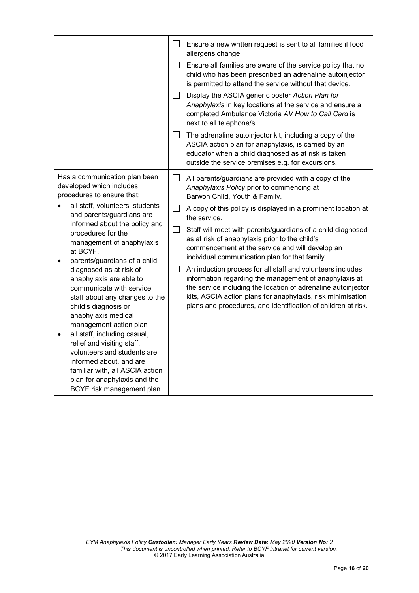|                                                                                         |                                                                                                                                                                                                                                                                                                                                                                                                                           | $\Box$                      | Ensure a new written request is sent to all families if food<br>allergens change.                                                                                                                                                                                                                                                                                       |
|-----------------------------------------------------------------------------------------|---------------------------------------------------------------------------------------------------------------------------------------------------------------------------------------------------------------------------------------------------------------------------------------------------------------------------------------------------------------------------------------------------------------------------|-----------------------------|-------------------------------------------------------------------------------------------------------------------------------------------------------------------------------------------------------------------------------------------------------------------------------------------------------------------------------------------------------------------------|
|                                                                                         |                                                                                                                                                                                                                                                                                                                                                                                                                           | $\vert \ \ \vert$           | Ensure all families are aware of the service policy that no<br>child who has been prescribed an adrenaline autoinjector<br>is permitted to attend the service without that device.                                                                                                                                                                                      |
|                                                                                         |                                                                                                                                                                                                                                                                                                                                                                                                                           | $\mathsf{L}$<br>$\Box$      | Display the ASCIA generic poster Action Plan for<br>Anaphylaxis in key locations at the service and ensure a<br>completed Ambulance Victoria AV How to Call Card is<br>next to all telephone/s.                                                                                                                                                                         |
|                                                                                         |                                                                                                                                                                                                                                                                                                                                                                                                                           |                             | The adrenaline autoinjector kit, including a copy of the<br>ASCIA action plan for anaphylaxis, is carried by an<br>educator when a child diagnosed as at risk is taken<br>outside the service premises e.g. for excursions.                                                                                                                                             |
| Has a communication plan been<br>developed which includes<br>procedures to ensure that: |                                                                                                                                                                                                                                                                                                                                                                                                                           | П                           | All parents/guardians are provided with a copy of the<br>Anaphylaxis Policy prior to commencing at<br>Barwon Child, Youth & Family.                                                                                                                                                                                                                                     |
|                                                                                         | all staff, volunteers, students<br>and parents/guardians are<br>informed about the policy and<br>procedures for the<br>management of anaphylaxis<br>at BCYF.<br>parents/guardians of a child<br>diagnosed as at risk of<br>anaphylaxis are able to<br>communicate with service<br>staff about any changes to the<br>child's diagnosis or<br>anaphylaxis medical<br>management action plan<br>all staff, including casual, | $\Box$<br>$\vert \ \ \vert$ | A copy of this policy is displayed in a prominent location at<br>the service.<br>Staff will meet with parents/guardians of a child diagnosed<br>as at risk of anaphylaxis prior to the child's<br>commencement at the service and will develop an                                                                                                                       |
| $\bullet$                                                                               |                                                                                                                                                                                                                                                                                                                                                                                                                           |                             | individual communication plan for that family.<br>An induction process for all staff and volunteers includes<br>information regarding the management of anaphylaxis at<br>the service including the location of adrenaline autoinjector<br>kits, ASCIA action plans for anaphylaxis, risk minimisation<br>plans and procedures, and identification of children at risk. |
|                                                                                         | relief and visiting staff,<br>volunteers and students are<br>informed about, and are<br>familiar with, all ASCIA action<br>plan for anaphylaxis and the<br>BCYF risk management plan.                                                                                                                                                                                                                                     |                             |                                                                                                                                                                                                                                                                                                                                                                         |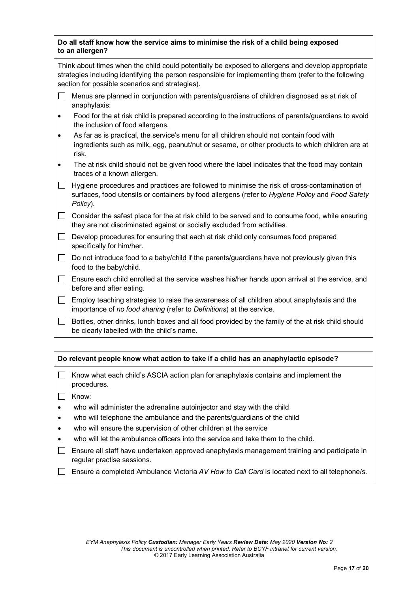#### **Do all staff know how the service aims to minimise the risk of a child being exposed to an allergen?**

Think about times when the child could potentially be exposed to allergens and develop appropriate strategies including identifying the person responsible for implementing them (refer to the following section for possible scenarios and strategies).

- $\Box$  Menus are planned in conjunction with parents/guardians of children diagnosed as at risk of anaphylaxis:
- Food for the at risk child is prepared according to the instructions of parents/guardians to avoid the inclusion of food allergens.
- As far as is practical, the service's menu for all children should not contain food with ingredients such as milk, egg, peanut/nut or sesame, or other products to which children are at risk.
- The at risk child should not be given food where the label indicates that the food may contain traces of a known allergen.
- $\Box$  Hygiene procedures and practices are followed to minimise the risk of cross-contamination of surfaces, food utensils or containers by food allergens (refer to *Hygiene Policy* and *Food Safety Policy*).

 $\Box$  Consider the safest place for the at risk child to be served and to consume food, while ensuring they are not discriminated against or socially excluded from activities.

- $\Box$  Develop procedures for ensuring that each at risk child only consumes food prepared specifically for him/her.
- $\Box$  Do not introduce food to a baby/child if the parents/guardians have not previously given this food to the baby/child.
- $\Box$  Ensure each child enrolled at the service washes his/her hands upon arrival at the service, and before and after eating.
- $\Box$  Employ teaching strategies to raise the awareness of all children about anaphylaxis and the importance of *no food sharing* (refer to *Definitions*) at the service.
- $\Box$  Bottles, other drinks, lunch boxes and all food provided by the family of the at risk child should be clearly labelled with the child's name.

### **Do relevant people know what action to take if a child has an anaphylactic episode?**

- $\Box$  Know what each child's ASCIA action plan for anaphylaxis contains and implement the procedures.
- $\Box$  Know:
- who will administer the adrenaline autoinjector and stay with the child
- who will telephone the ambulance and the parents/guardians of the child
- who will ensure the supervision of other children at the service
- who will let the ambulance officers into the service and take them to the child.
- $\Box$  Ensure all staff have undertaken approved anaphylaxis management training and participate in regular practise sessions.
- Ensure a completed Ambulance Victoria *AV How to Call Card* is located next to all telephone/s.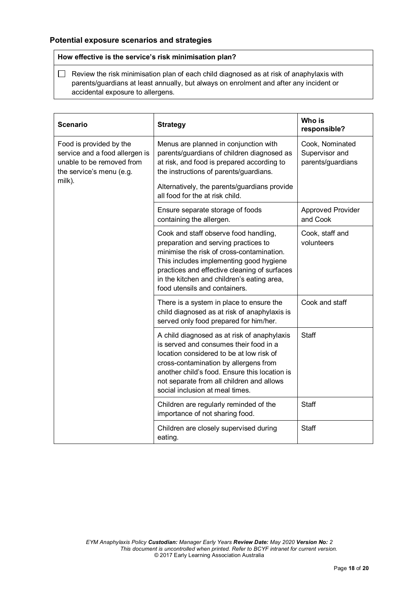### **Potential exposure scenarios and strategies**

#### **How effective is the service's risk minimisation plan?**

 $\Box$  Review the risk minimisation plan of each child diagnosed as at risk of anaphylaxis with parents/guardians at least annually, but always on enrolment and after any incident or accidental exposure to allergens.

| <b>Scenario</b>                                                                                                              | <b>Strategy</b>                                                                                                                                                                                                                                                                                                                  | Who is<br>responsible?                                 |
|------------------------------------------------------------------------------------------------------------------------------|----------------------------------------------------------------------------------------------------------------------------------------------------------------------------------------------------------------------------------------------------------------------------------------------------------------------------------|--------------------------------------------------------|
| Food is provided by the<br>service and a food allergen is<br>unable to be removed from<br>the service's menu (e.g.<br>milk). | Menus are planned in conjunction with<br>parents/guardians of children diagnosed as<br>at risk, and food is prepared according to<br>the instructions of parents/guardians.<br>Alternatively, the parents/guardians provide                                                                                                      | Cook, Nominated<br>Supervisor and<br>parents/guardians |
|                                                                                                                              | all food for the at risk child.<br>Ensure separate storage of foods                                                                                                                                                                                                                                                              | <b>Approved Provider</b>                               |
|                                                                                                                              | containing the allergen.<br>Cook and staff observe food handling,<br>preparation and serving practices to<br>minimise the risk of cross-contamination.<br>This includes implementing good hygiene<br>practices and effective cleaning of surfaces<br>in the kitchen and children's eating area,<br>food utensils and containers. | and Cook<br>Cook, staff and<br>volunteers              |
|                                                                                                                              | There is a system in place to ensure the<br>child diagnosed as at risk of anaphylaxis is<br>served only food prepared for him/her.                                                                                                                                                                                               | Cook and staff                                         |
|                                                                                                                              | A child diagnosed as at risk of anaphylaxis<br>is served and consumes their food in a<br>location considered to be at low risk of<br>cross-contamination by allergens from<br>another child's food. Ensure this location is<br>not separate from all children and allows<br>social inclusion at meal times.                      | <b>Staff</b>                                           |
|                                                                                                                              | Children are regularly reminded of the<br>importance of not sharing food.                                                                                                                                                                                                                                                        | <b>Staff</b>                                           |
|                                                                                                                              | Children are closely supervised during<br>eating.                                                                                                                                                                                                                                                                                | <b>Staff</b>                                           |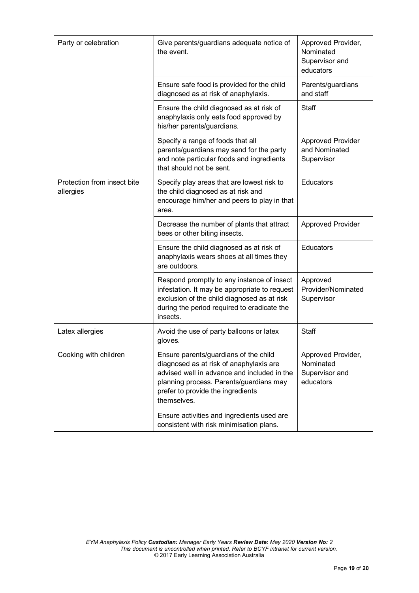| Party or celebration                     | Give parents/guardians adequate notice of<br>the event.                                                                                                                                                                        | Approved Provider,<br>Nominated<br>Supervisor and<br>educators |
|------------------------------------------|--------------------------------------------------------------------------------------------------------------------------------------------------------------------------------------------------------------------------------|----------------------------------------------------------------|
|                                          | Ensure safe food is provided for the child<br>diagnosed as at risk of anaphylaxis.                                                                                                                                             | Parents/guardians<br>and staff                                 |
|                                          | Ensure the child diagnosed as at risk of<br>anaphylaxis only eats food approved by<br>his/her parents/guardians.                                                                                                               | Staff                                                          |
|                                          | Specify a range of foods that all<br>parents/guardians may send for the party<br>and note particular foods and ingredients<br>that should not be sent.                                                                         | <b>Approved Provider</b><br>and Nominated<br>Supervisor        |
| Protection from insect bite<br>allergies | Specify play areas that are lowest risk to<br>the child diagnosed as at risk and<br>encourage him/her and peers to play in that<br>area.                                                                                       | Educators                                                      |
|                                          | Decrease the number of plants that attract<br>bees or other biting insects.                                                                                                                                                    | <b>Approved Provider</b>                                       |
|                                          | Ensure the child diagnosed as at risk of<br>anaphylaxis wears shoes at all times they<br>are outdoors.                                                                                                                         | Educators                                                      |
|                                          | Respond promptly to any instance of insect<br>infestation. It may be appropriate to request<br>exclusion of the child diagnosed as at risk<br>during the period required to eradicate the<br>insects.                          | Approved<br>Provider/Nominated<br>Supervisor                   |
| Latex allergies                          | Avoid the use of party balloons or latex<br>gloves.                                                                                                                                                                            | <b>Staff</b>                                                   |
| Cooking with children                    | Ensure parents/guardians of the child<br>diagnosed as at risk of anaphylaxis are<br>advised well in advance and included in the<br>planning process. Parents/guardians may<br>prefer to provide the ingredients<br>themselves. | Approved Provider,<br>Nominated<br>Supervisor and<br>educators |
|                                          | Ensure activities and ingredients used are<br>consistent with risk minimisation plans.                                                                                                                                         |                                                                |